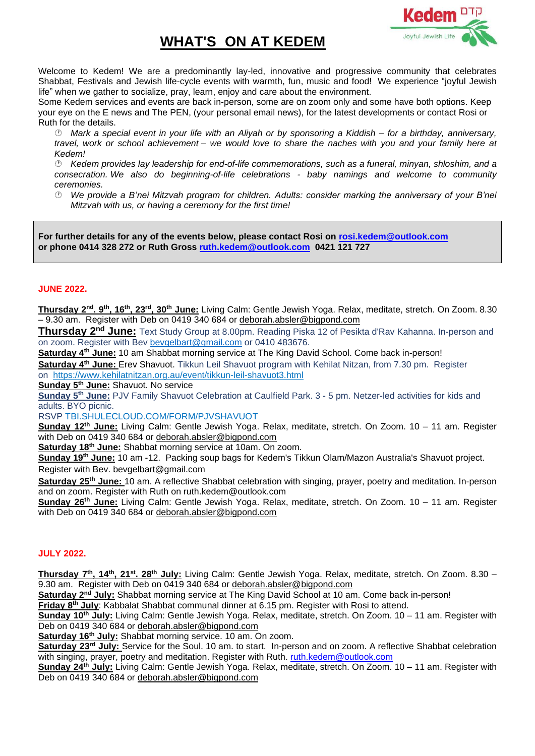## **WHAT'S ON AT KEDEM**



Welcome to Kedem! We are a predominantly lay-led, innovative and progressive community that celebrates Shabbat, Festivals and Jewish life-cycle events with warmth, fun, music and food! We experience "joyful Jewish life" when we gather to socialize, pray, learn, enjoy and care about the environment.

Some Kedem services and events are back in-person, some are on zoom only and some have both options. Keep your eye on the E news and The PEN, (your personal email news), for the latest developments or contact Rosi or Ruth for the details.

 *Mark a special event in your life with an Aliyah or by sponsoring a Kiddish – for a birthday, anniversary, travel, work or school achievement – we would love to share the naches with you and your family here at Kedem!*

 *Kedem provides lay leadership for end-of-life commemorations, such as a funeral, minyan, shloshim, and a consecration. We also do beginning-of-life celebrations - baby namings and welcome to community ceremonies.*

 *We provide a B'nei Mitzvah program for children. Adults: consider marking the anniversary of your B'nei Mitzvah with us, or having a ceremony for the first time!* 

**For further details for any of the events below, please contact Rosi on [rosi.kedem@outlook.com](mailto:rosi.kedem@outlook.com) or phone 0414 328 272 or Ruth Gross [ruth.kedem@outlook.com](mailto:ruth.kedem@outlook.com) 0421 121 727**

## **JUNE 2022.**

**Thursday 2 nd. 9th, 16th , 23rd, 30th June:** Living Calm: Gentle Jewish Yoga. Relax, meditate, stretch. On Zoom. 8.30 – 9.30 am. Register with Deb on 0419 340 684 or [deborah.absler@bigpond.com](mailto:deborah.absler@bigpond.com)

**Thursday 2 nd June:** Text Study Group at 8.00pm. Reading Piska 12 of Pesikta d'Rav Kahanna. In-person and on zoom. Register with Bev [bevgelbart@gmail.com](mailto:bevgelbart@gmail.com) or 0410 483676.

**Saturday 4th June:** 10 am Shabbat morning service at The King David School. Come back in-person! **Saturday 4 th June:** Erev Shavuot. Tikkun Leil Shavuot program with Kehilat Nitzan, from 7.30 pm. Register on <https://www.kehilatnitzan.org.au/event/tikkun-leil-shavuot3.html>

**Sunday 5 th June:** Shavuot. No service

**Sunday 5 th June:** PJV Family Shavuot Celebration at Caulfield Park. 3 - 5 pm. Netzer-led activities for kids and adults. BYO picnic.

RSVP TBI.SHULECLOUD.COM/FORM/PJVSHAVUOT

**Sunday 12 th June:** Living Calm: Gentle Jewish Yoga. Relax, meditate, stretch. On Zoom. 10 – 11 am. Register with Deb on 0419 340 684 or [deborah.absler@bigpond.com](mailto:deborah.absler@bigpond.com)

**Saturday 18th June:** Shabbat morning service at 10am. On zoom.

**Sunday 19th June:** 10 am -12. Packing soup bags for Kedem's Tikkun Olam/Mazon Australia's Shavuot project. Register with Bev. bevgelbart@gmail.com

Saturday 25<sup>th</sup> June: 10 am. A reflective Shabbat celebration with singing, prayer, poetry and meditation. In-person and on zoom. Register with Ruth on ruth.kedem@outlook.com

**Sunday 26 th June:** Living Calm: Gentle Jewish Yoga. Relax, meditate, stretch. On Zoom. 10 – 11 am. Register with Deb on 0419 340 684 or [deborah.absler@bigpond.com](mailto:deborah.absler@bigpond.com)

## **JULY 2022.**

**Thursday 7 th, 14th, 21st. 28th July:** Living Calm: Gentle Jewish Yoga. Relax, meditate, stretch. On Zoom. 8.30 – 9.30 am. Register with Deb on 0419 340 684 or [deborah.absler@bigpond.com](mailto:deborah.absler@bigpond.com)

**Saturday 2<sup>nd</sup> July:** Shabbat morning service at The King David School at 10 am. Come back in-person!

**Friday 8<sup>th</sup> July**: Kabbalat Shabbat communal dinner at 6.15 pm. Register with Rosi to attend.

**Sunday 10th July:** Living Calm: Gentle Jewish Yoga. Relax, meditate, stretch. On Zoom. 10 – 11 am. Register with Deb on 0419 340 684 or [deborah.absler@bigpond.com](mailto:deborah.absler@bigpond.com)

**Saturday 16th July:** Shabbat morning service. 10 am. On zoom.

Saturday 23<sup>rd</sup> July: Service for the Soul. 10 am. to start. In-person and on zoom. A reflective Shabbat celebration with singing, prayer, poetry and meditation. Register with Ruth. [ruth.kedem@outlook.com](mailto:ruth.kedem@outlook.com)

**Sunday 24 th July:** Living Calm: Gentle Jewish Yoga. Relax, meditate, stretch. On Zoom. 10 – 11 am. Register with Deb on 0419 340 684 or [deborah.absler@bigpond.com](mailto:deborah.absler@bigpond.com)